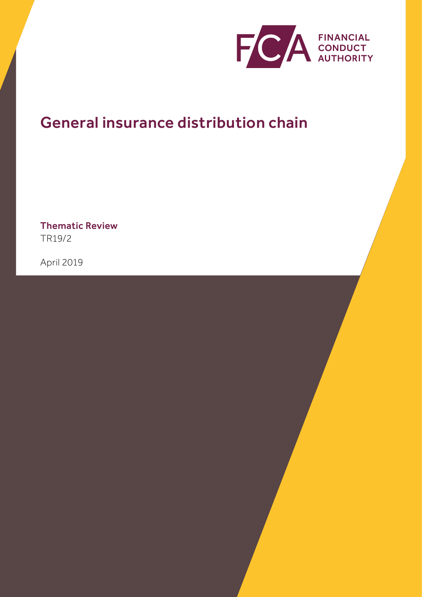

# General insurance distribution chain

Thematic Review TR19/2

April 2019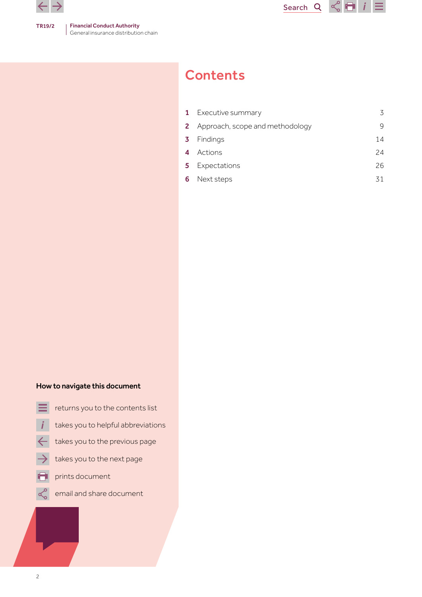



|                  | <b>1</b> Executive summary               | 3  |
|------------------|------------------------------------------|----|
|                  | <b>2</b> Approach, scope and methodology | 9  |
|                  | <b>3</b> Findings                        | 14 |
| $\boldsymbol{A}$ | Actions                                  | 24 |
|                  | 5 Expectations                           | 26 |
| 6                | Next steps                               | 31 |

## How to navigate this document

- returns you to the contents list
- takes you to helpful abbreviations
- takes you to the previous page  $\leftarrow$
- takes you to the next page
- prints document
- email and share document $\propto$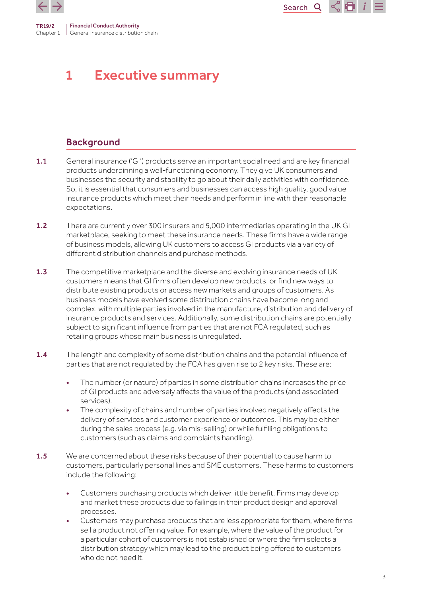<span id="page-2-0"></span>

# 1 Executive summary

## Background

1.1 General insurance ('GI') products serve an important social need and are key financial products underpinning a well-functioning economy. They give UK consumers and businesses the security and stability to go about their daily activities with confidence. So, it is essential that consumers and businesses can access high quality, good value insurance products which meet their needs and perform in line with their reasonable expectations.

- 1.2 There are currently over 300 insurers and 5,000 intermediaries operating in the UK GI marketplace, seeking to meet these insurance needs. These firms have a wide range of business models, allowing UK customers to access GI products via a variety of different distribution channels and purchase methods.
- 1.3 The competitive marketplace and the diverse and evolving insurance needs of UK customers means that GI firms often develop new products, or find new ways to distribute existing products or access new markets and groups of customers. As business models have evolved some distribution chains have become long and complex, with multiple parties involved in the manufacture, distribution and delivery of insurance products and services. Additionally, some distribution chains are potentially subject to significant influence from parties that are not FCA regulated, such as retailing groups whose main business is unregulated.
- 1.4 The length and complexity of some distribution chains and the potential influence of parties that are not regulated by the FCA has given rise to 2 key risks. These are:
	- The number (or nature) of parties in some distribution chains increases the price of GI products and adversely affects the value of the products (and associated services).
	- The complexity of chains and number of parties involved negatively affects the delivery of services and customer experience or outcomes. This may be either during the sales process (e.g. via mis-selling) or while fulfilling obligations to customers (such as claims and complaints handling).
- **1.5** We are concerned about these risks because of their potential to cause harm to customers, particularly personal lines and SME customers. These harms to customers include the following:
	- Customers purchasing products which deliver little benefit. Firms may develop and market these products due to failings in their product design and approval processes.
	- Customers may purchase products that are less appropriate for them, where firms sell a product not offering value. For example, where the value of the product for a particular cohort of customers is not established or where the firm selects a distribution strategy which may lead to the product being offered to customers who do not need it.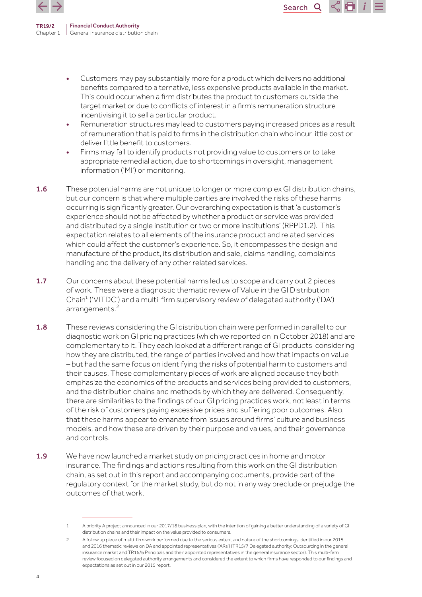

> • Customers may pay substantially more for a product which delivers no additional benefits compared to alternative, less expensive products available in the market. This could occur when a firm distributes the product to customers outside the target market or due to conflicts of interest in a firm's remuneration structure incentivising it to sell a particular product.

Search<sub>Q</sub>

 $\propto$  Fi

- Remuneration structures may lead to customers paying increased prices as a result of remuneration that is paid to firms in the distribution chain who incur little cost or deliver little benefit to customers.
- Firms may fail to identify products not providing value to customers or to take appropriate remedial action, due to shortcomings in oversight, management information ('MI') or monitoring.
- 1.6 These potential harms are not unique to longer or more complex GI distribution chains, but our concern is that where multiple parties are involved the risks of these harms occurring is significantly greater. Our overarching expectation is that 'a customer's experience should not be affected by whether a product or service was provided and distributed by a single institution or two or more institutions' (RPPD1.2). This expectation relates to all elements of the insurance product and related services which could affect the customer's experience. So, it encompasses the design and manufacture of the product, its distribution and sale, claims handling, complaints handling and the delivery of any other related services.
- 1.7 Our concerns about these potential harms led us to scope and carry out 2 pieces of work. These were a diagnostic thematic review of Value in the GI Distribution Chain<sup>1</sup> ('VITDC') and a multi-firm supervisory review of delegated authority ('DA') arrangements.<sup>2</sup>
- 1.8 These reviews considering the GI distribution chain were performed in parallel to our diagnostic work on GI pricing practices (which we reported on in October 2018) and are complementary to it. They each looked at a different range of GI products considering how they are distributed, the range of parties involved and how that impacts on value – but had the same focus on identifying the risks of potential harm to customers and their causes. These complementary pieces of work are aligned because they both emphasize the economics of the products and services being provided to customers, and the distribution chains and methods by which they are delivered. Consequently, there are similarities to the findings of our GI pricing practices work, not least in terms of the risk of customers paying excessive prices and suffering poor outcomes. Also, that these harms appear to emanate from issues around firms' culture and business models, and how these are driven by their purpose and values, and their governance and controls.
- 1.9 We have now launched a market study on pricing practices in home and motor insurance. The findings and actions resulting from this work on the GI distribution chain, as set out in this report and accompanying documents, provide part of the regulatory context for the market study, but do not in any way preclude or prejudge the outcomes of that work.

<sup>1</sup> A priority A project announced in our 2017/18 business plan, with the intention of gaining a better understanding of a variety of GI distribution chains and their impact on the value provided to consumers.

<sup>2</sup> A follow up piece of multi-firm work performed due to the serious extent and nature of the shortcomings identified in our 2015 and 2016 thematic reviews on DA and appointed representatives ('ARs') (TR15/7 Delegated authority: Outsourcing in the general insurance market and TR16/6 Principals and their appointed representatives in the general insurance sector). This multi-firm review focused on delegated authority arrangements and considered the extent to which firms have responded to our findings and expectations as set out in our 2015 report.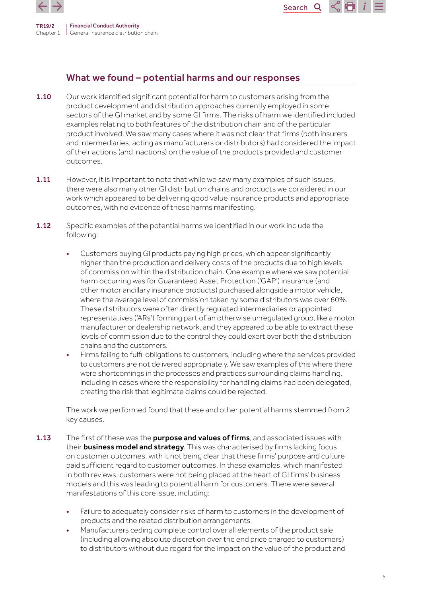

## What we found – potential harms and our responses

1.10 Our work identified significant potential for harm to customers arising from the product development and distribution approaches currently employed in some sectors of the GI market and by some GI firms. The risks of harm we identified included examples relating to both features of the distribution chain and of the particular product involved. We saw many cases where it was not clear that firms (both insurers and intermediaries, acting as manufacturers or distributors) had considered the impact of their actions (and inactions) on the value of the products provided and customer outcomes.

Search<sup>Q</sup>

- 1.11 However, it is important to note that while we saw many examples of such issues, there were also many other GI distribution chains and products we considered in our work which appeared to be delivering good value insurance products and appropriate outcomes, with no evidence of these harms manifesting.
- 1.12 Specific examples of the potential harms we identified in our work include the following:
	- Customers buying GI products paying high prices, which appear significantly higher than the production and delivery costs of the products due to high levels of commission within the distribution chain. One example where we saw potential harm occurring was for Guaranteed Asset Protection ('GAP') insurance (and other motor ancillary insurance products) purchased alongside a motor vehicle, where the average level of commission taken by some distributors was over 60%. These distributors were often directly regulated intermediaries or appointed representatives ('ARs') forming part of an otherwise unregulated group, like a motor manufacturer or dealership network, and they appeared to be able to extract these levels of commission due to the control they could exert over both the distribution chains and the customers.
	- Firms failing to fulfil obligations to customers, including where the services provided to customers are not delivered appropriately. We saw examples of this where there were shortcomings in the processes and practices surrounding claims handling, including in cases where the responsibility for handling claims had been delegated, creating the risk that legitimate claims could be rejected.

The work we performed found that these and other potential harms stemmed from 2 key causes.

- 1.13 The first of these was the purpose and values of firms, and associated issues with their **business model and strategy**. This was characterised by firms lacking focus on customer outcomes, with it not being clear that these firms' purpose and culture paid sufficient regard to customer outcomes. In these examples, which manifested in both reviews, customers were not being placed at the heart of GI firms' business models and this was leading to potential harm for customers. There were several manifestations of this core issue, including:
	- Failure to adequately consider risks of harm to customers in the development of products and the related distribution arrangements.
	- Manufacturers ceding complete control over all elements of the product sale (including allowing absolute discretion over the end price charged to customers) to distributors without due regard for the impact on the value of the product and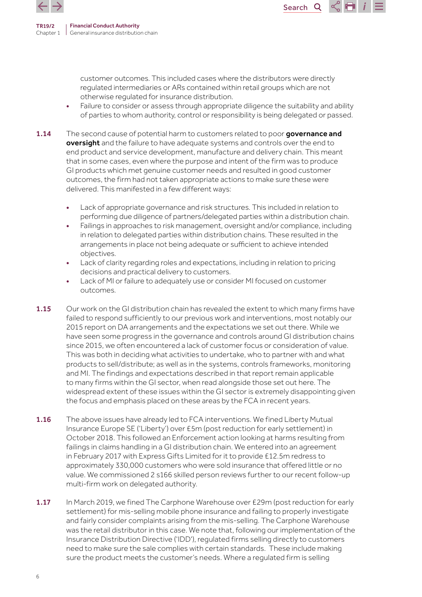



customer outcomes. This included cases where the distributors were directly regulated intermediaries or ARs contained within retail groups which are not otherwise regulated for insurance distribution.

- Failure to consider or assess through appropriate diligence the suitability and ability of parties to whom authority, control or responsibility is being delegated or passed.
- 1.14 The second cause of potential harm to customers related to poor governance and oversight and the failure to have adequate systems and controls over the end to end product and service development, manufacture and delivery chain. This meant that in some cases, even where the purpose and intent of the firm was to produce GI products which met genuine customer needs and resulted in good customer outcomes, the firm had not taken appropriate actions to make sure these were delivered. This manifested in a few different ways:
	- Lack of appropriate governance and risk structures. This included in relation to performing due diligence of partners/delegated parties within a distribution chain.
	- Failings in approaches to risk management, oversight and/or compliance, including in relation to delegated parties within distribution chains. These resulted in the arrangements in place not being adequate or sufficient to achieve intended objectives.
	- Lack of clarity regarding roles and expectations, including in relation to pricing decisions and practical delivery to customers.
	- Lack of MI or failure to adequately use or consider MI focused on customer outcomes.
- 1.15 Our work on the GI distribution chain has revealed the extent to which many firms have failed to respond sufficiently to our previous work and interventions, most notably our 2015 report on DA arrangements and the expectations we set out there. While we have seen some progress in the governance and controls around GI distribution chains since 2015, we often encountered a lack of customer focus or consideration of value. This was both in deciding what activities to undertake, who to partner with and what products to sell/distribute; as well as in the systems, controls frameworks, monitoring and MI. The findings and expectations described in that report remain applicable to many firms within the GI sector, when read alongside those set out here. The widespread extent of these issues within the GI sector is extremely disappointing given the focus and emphasis placed on these areas by the FCA in recent years.
- 1.16 The above issues have already led to FCA interventions. We fined Liberty Mutual Insurance Europe SE ('Liberty') over £5m (post reduction for early settlement) in October 2018. This followed an Enforcement action looking at harms resulting from failings in claims handling in a GI distribution chain. We entered into an agreement in February 2017 with Express Gifts Limited for it to provide £12.5m redress to approximately 330,000 customers who were sold insurance that offered little or no value. We commissioned 2 s166 skilled person reviews further to our recent follow-up multi-firm work on delegated authority.
- 1.17 In March 2019, we fined The Carphone Warehouse over £29m (post reduction for early settlement) for mis-selling mobile phone insurance and failing to properly investigate and fairly consider complaints arising from the mis-selling. The Carphone Warehouse was the retail distributor in this case. We note that, following our implementation of the Insurance Distribution Directive ('IDD'), regulated firms selling directly to customers need to make sure the sale complies with certain standards. These include making sure the product meets the customer's needs. Where a regulated firm is selling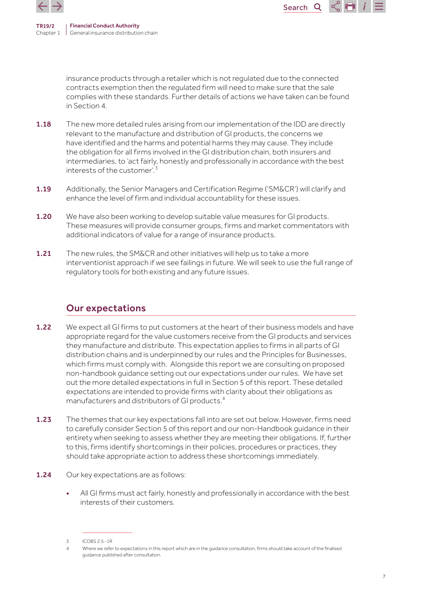

Search<sub>Q</sub>

insurance products through a retailer which is not regulated due to the connected contracts exemption then the regulated firm will need to make sure that the sale complies with these standards. Further details of actions we have taken can be found in Section 4.

- 1.18 The new more detailed rules arising from our implementation of the IDD are directly relevant to the manufacture and distribution of GI products, the concerns we have identified and the harms and potential harms they may cause. They include the obligation for all firms involved in the GI distribution chain, both insurers and intermediaries, to 'act fairly, honestly and professionally in accordance with the best interests of the customer'  $3$
- 1.19 Additionally, the Senior Managers and Certification Regime ('SM&CR') will clarify and enhance the level of firm and individual accountability for these issues.
- 1.20 We have also been working to develop suitable value measures for GI products. These measures will provide consumer groups, firms and market commentators with additional indicators of value for a range of insurance products.
- 1.21 The new rules, the SM&CR and other initiatives will help us to take a more interventionist approach if we see failings in future. We will seek to use the full range of regulatory tools for both existing and any future issues.

## Our expectations

- 1.22 We expect all GI firms to put customers at the heart of their business models and have appropriate regard for the value customers receive from the GI products and services they manufacture and distribute. This expectation applies to firms in all parts of GI distribution chains and is underpinned by our rules and the Principles for Businesses, which firms must comply with. Alongside this report we are consulting on proposed non-handbook guidance setting out our expectations under our rules. We have set out the more detailed expectations in full in Section 5 of this report. These detailed expectations are intended to provide firms with clarity about their obligations as manufacturers and distributors of GI products.<sup>4</sup>
- 1.23 The themes that our key expectations fall into are set out below. However, firms need to carefully consider Section 5 of this report and our non-Handbook guidance in their entirety when seeking to assess whether they are meeting their obligations. If, further to this, firms identify shortcomings in their policies, procedures or practices, they should take appropriate action to address these shortcomings immediately.
- 1.24 Our key expectations are as follows:
	- All GI firms must act fairly, honestly and professionally in accordance with the best interests of their customers.

 $3$  ICOBS 2.5 - 1R

<sup>4</sup> Where we refer to expectations in this report which are in the guidance consultation, firms should take account of the finalised guidance published after consultation.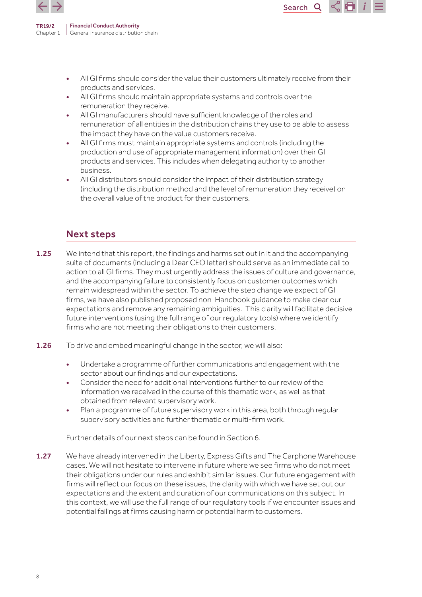

> • All GI firms should consider the value their customers ultimately receive from their products and services.

Search Q

- All GI firms should maintain appropriate systems and controls over the remuneration they receive.
- All GI manufacturers should have sufficient knowledge of the roles and remuneration of all entities in the distribution chains they use to be able to assess the impact they have on the value customers receive.
- All GI firms must maintain appropriate systems and controls (including the production and use of appropriate management information) over their GI products and services. This includes when delegating authority to another business.
- All GI distributors should consider the impact of their distribution strategy (including the distribution method and the level of remuneration they receive) on the overall value of the product for their customers.

## Next steps

- 1.25 We intend that this report, the findings and harms set out in it and the accompanying suite of documents (including a Dear CEO letter) should serve as an immediate call to action to all GI firms. They must urgently address the issues of culture and governance, and the accompanying failure to consistently focus on customer outcomes which remain widespread within the sector. To achieve the step change we expect of GI firms, we have also published proposed non-Handbook guidance to make clear our expectations and remove any remaining ambiguities. This clarity will facilitate decisive future interventions (using the full range of our regulatory tools) where we identify firms who are not meeting their obligations to their customers.
- 1.26 To drive and embed meaningful change in the sector, we will also:
	- Undertake a programme of further communications and engagement with the sector about our findings and our expectations.
	- Consider the need for additional interventions further to our review of the information we received in the course of this thematic work, as well as that obtained from relevant supervisory work.
	- Plan a programme of future supervisory work in this area, both through regular supervisory activities and further thematic or multi-firm work.

Further details of our next steps can be found in Section 6.

1.27 We have already intervened in the Liberty, Express Gifts and The Carphone Warehouse cases. We will not hesitate to intervene in future where we see firms who do not meet their obligations under our rules and exhibit similar issues. Our future engagement with firms will reflect our focus on these issues, the clarity with which we have set out our expectations and the extent and duration of our communications on this subject. In this context, we will use the full range of our regulatory tools if we encounter issues and potential failings at firms causing harm or potential harm to customers.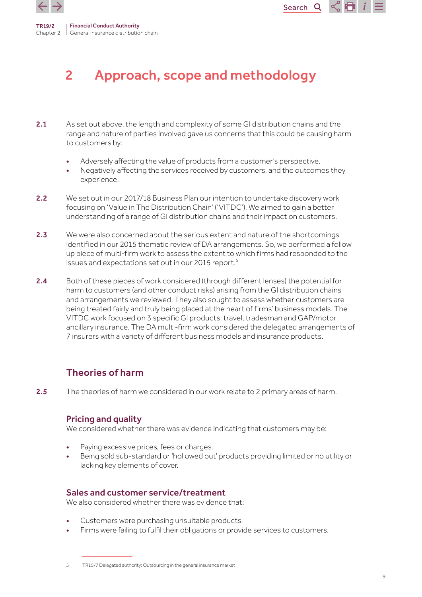<span id="page-8-0"></span>



## Search<sub>Q</sub>

# 2 Approach, scope and methodology

- 2.1 As set out above, the length and complexity of some GI distribution chains and the range and nature of parties involved gave us concerns that this could be causing harm to customers by:
	- Adversely affecting the value of products from a customer's perspective.
	- Negatively affecting the services received by customers, and the outcomes they experience.
- 2.2 We set out in our 2017/18 Business Plan our intention to undertake discovery work focusing on 'Value in The Distribution Chain' ('VITDC'). We aimed to gain a better understanding of a range of GI distribution chains and their impact on customers.
- 2.3 We were also concerned about the serious extent and nature of the shortcomings identified in our 2015 thematic review of DA arrangements. So, we performed a follow up piece of multi-firm work to assess the extent to which firms had responded to the issues and expectations set out in our 2015 report.<sup>5</sup>
- 2.4 Both of these pieces of work considered (through different lenses) the potential for harm to customers (and other conduct risks) arising from the GI distribution chains and arrangements we reviewed. They also sought to assess whether customers are being treated fairly and truly being placed at the heart of firms' business models. The VITDC work focused on 3 specific GI products; travel, tradesman and GAP/motor ancillary insurance. The DA multi-firm work considered the delegated arrangements of 7 insurers with a variety of different business models and insurance products.

## Theories of harm

2.5 The theories of harm we considered in our work relate to 2 primary areas of harm.

## Pricing and quality

We considered whether there was evidence indicating that customers may be:

- Paying excessive prices, fees or charges.
- Being sold sub-standard or 'hollowed out' products providing limited or no utility or lacking key elements of cover.

## Sales and customer service/treatment

We also considered whether there was evidence that:

- Customers were purchasing unsuitable products.
- Firms were failing to fulfil their obligations or provide services to customers.

<sup>5</sup> TR15/7 Delegated authority: Outsourcing in the general insurance market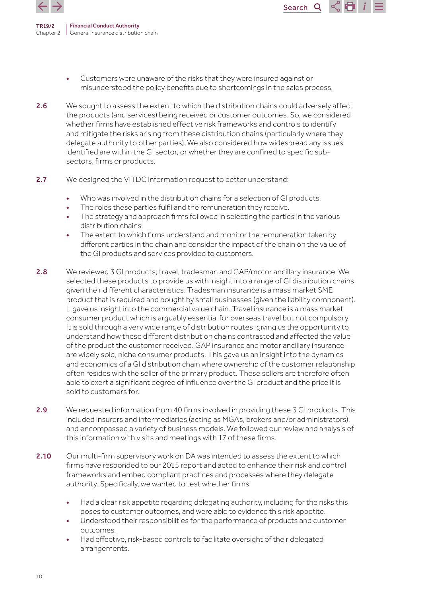

> • Customers were unaware of the risks that they were insured against or misunderstood the policy benefits due to shortcomings in the sales process.

- 2.6 We sought to assess the extent to which the distribution chains could adversely affect the products (and services) being received or customer outcomes. So, we considered whether firms have established effective risk frameworks and controls to identify and mitigate the risks arising from these distribution chains (particularly where they delegate authority to other parties). We also considered how widespread any issues identified are within the GI sector, or whether they are confined to specific subsectors, firms or products.
- 2.7 We designed the VITDC information request to better understand:
	- Who was involved in the distribution chains for a selection of GI products.
	- The roles these parties fulfil and the remuneration they receive.
	- The strategy and approach firms followed in selecting the parties in the various distribution chains.
	- The extent to which firms understand and monitor the remuneration taken by different parties in the chain and consider the impact of the chain on the value of the GI products and services provided to customers.
- 2.8 We reviewed 3 GI products; travel, tradesman and GAP/motor ancillary insurance. We selected these products to provide us with insight into a range of GI distribution chains, given their different characteristics. Tradesman insurance is a mass market SME product that is required and bought by small businesses (given the liability component). It gave us insight into the commercial value chain. Travel insurance is a mass market consumer product which is arguably essential for overseas travel but not compulsory. It is sold through a very wide range of distribution routes, giving us the opportunity to understand how these different distribution chains contrasted and affected the value of the product the customer received. GAP insurance and motor ancillary insurance are widely sold, niche consumer products. This gave us an insight into the dynamics and economics of a GI distribution chain where ownership of the customer relationship often resides with the seller of the primary product. These sellers are therefore often able to exert a significant degree of influence over the GI product and the price it is sold to customers for.
- 2.9 We requested information from 40 firms involved in providing these 3 GI products. This included insurers and intermediaries (acting as MGAs, brokers and/or administrators), and encompassed a variety of business models. We followed our review and analysis of this information with visits and meetings with 17 of these firms.
- 2.10 Our multi-firm supervisory work on DA was intended to assess the extent to which firms have responded to our 2015 report and acted to enhance their risk and control frameworks and embed compliant practices and processes where they delegate authority. Specifically, we wanted to test whether firms:
	- Had a clear risk appetite regarding delegating authority, including for the risks this poses to customer outcomes, and were able to evidence this risk appetite.
	- Understood their responsibilities for the performance of products and customer outcomes.
	- Had effective, risk-based controls to facilitate oversight of their delegated arrangements.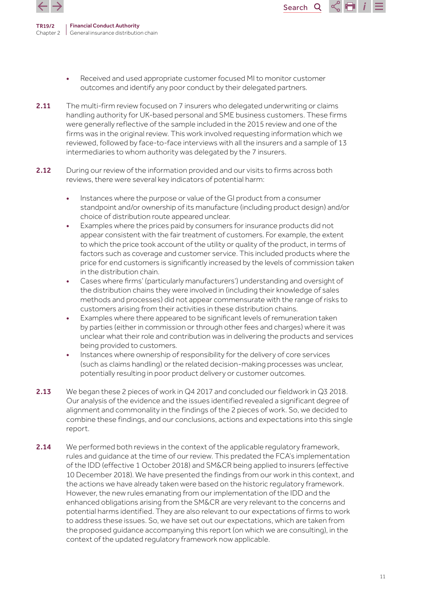

> Received and used appropriate customer focused MI to monitor customer outcomes and identify any poor conduct by their delegated partners.

- 2.11 The multi-firm review focused on 7 insurers who delegated underwriting or claims handling authority for UK-based personal and SME business customers. These firms were generally reflective of the sample included in the 2015 review and one of the firms was in the original review. This work involved requesting information which we reviewed, followed by face-to-face interviews with all the insurers and a sample of 13 intermediaries to whom authority was delegated by the 7 insurers.
- 2.12 During our review of the information provided and our visits to firms across both reviews, there were several key indicators of potential harm:
	- Instances where the purpose or value of the GI product from a consumer standpoint and/or ownership of its manufacture (including product design) and/or choice of distribution route appeared unclear.
	- Examples where the prices paid by consumers for insurance products did not appear consistent with the fair treatment of customers. For example, the extent to which the price took account of the utility or quality of the product, in terms of factors such as coverage and customer service. This included products where the price for end customers is significantly increased by the levels of commission taken in the distribution chain.
	- Cases where firms' (particularly manufacturers') understanding and oversight of the distribution chains they were involved in (including their knowledge of sales methods and processes) did not appear commensurate with the range of risks to customers arising from their activities in these distribution chains.
	- Examples where there appeared to be significant levels of remuneration taken by parties (either in commission or through other fees and charges) where it was unclear what their role and contribution was in delivering the products and services being provided to customers.
	- Instances where ownership of responsibility for the delivery of core services (such as claims handling) or the related decision-making processes was unclear, potentially resulting in poor product delivery or customer outcomes.
- 2.13 We began these 2 pieces of work in Q4 2017 and concluded our fieldwork in Q3 2018. Our analysis of the evidence and the issues identified revealed a significant degree of alignment and commonality in the findings of the 2 pieces of work. So, we decided to combine these findings, and our conclusions, actions and expectations into this single report.
- 2.14 We performed both reviews in the context of the applicable regulatory framework, rules and guidance at the time of our review. This predated the FCA's implementation of the IDD (effective 1 October 2018) and SM&CR being applied to insurers (effective 10 December 2018). We have presented the findings from our work in this context, and the actions we have already taken were based on the historic regulatory framework. However, the new rules emanating from our implementation of the IDD and the enhanced obligations arising from the SM&CR are very relevant to the concerns and potential harms identified. They are also relevant to our expectations of firms to work to address these issues. So, we have set out our expectations, which are taken from the proposed guidance accompanying this report (on which we are consulting), in the context of the updated regulatory framework now applicable.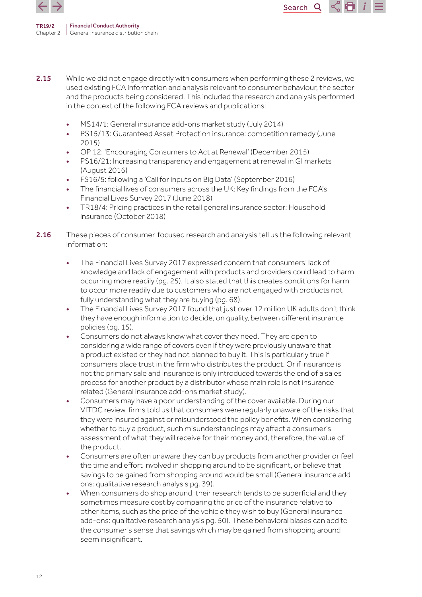

2.15 While we did not engage directly with consumers when performing these 2 reviews, we used existing FCA information and analysis relevant to consumer behaviour, the sector and the products being considered. This included the research and analysis performed in the context of the following FCA reviews and publications:

- MS14/1: General insurance add-ons market study (July 2014)
- PS15/13: Guaranteed Asset Protection insurance: competition remedy (June 2015)
- OP 12: 'Encouraging Consumers to Act at Renewal' (December 2015)
- PS16/21: Increasing transparency and engagement at renewal in GI markets (August 2016)
- FS16/5: following a 'Call for inputs on Big Data' (September 2016)
- The financial lives of consumers across the UK: Key findings from the FCA's Financial Lives Survey 2017 (June 2018)
- TR18/4: Pricing practices in the retail general insurance sector: Household insurance (October 2018)
- 2.16 These pieces of consumer-focused research and analysis tell us the following relevant information:
	- The Financial Lives Survey 2017 expressed concern that consumers' lack of knowledge and lack of engagement with products and providers could lead to harm occurring more readily (pg. 25). It also stated that this creates conditions for harm to occur more readily due to customers who are not engaged with products not fully understanding what they are buying (pg. 68).
	- The Financial Lives Survey 2017 found that just over 12 million UK adults don't think they have enough information to decide, on quality, between different insurance policies (pg. 15).
	- Consumers do not always know what cover they need. They are open to considering a wide range of covers even if they were previously unaware that a product existed or they had not planned to buy it. This is particularly true if consumers place trust in the firm who distributes the product. Or if insurance is not the primary sale and insurance is only introduced towards the end of a sales process for another product by a distributor whose main role is not insurance related (General insurance add-ons market study).
	- Consumers may have a poor understanding of the cover available. During our VITDC review, firms told us that consumers were regularly unaware of the risks that they were insured against or misunderstood the policy benefits. When considering whether to buy a product, such misunderstandings may affect a consumer's assessment of what they will receive for their money and, therefore, the value of the product.
	- Consumers are often unaware they can buy products from another provider or feel the time and effort involved in shopping around to be significant, or believe that savings to be gained from shopping around would be small (General insurance addons: qualitative research analysis pg. 39).
	- When consumers do shop around, their research tends to be superficial and they sometimes measure cost by comparing the price of the insurance relative to other items, such as the price of the vehicle they wish to buy (General insurance add-ons: qualitative research analysis pg. 50). These behavioral biases can add to the consumer's sense that savings which may be gained from shopping around seem insignificant.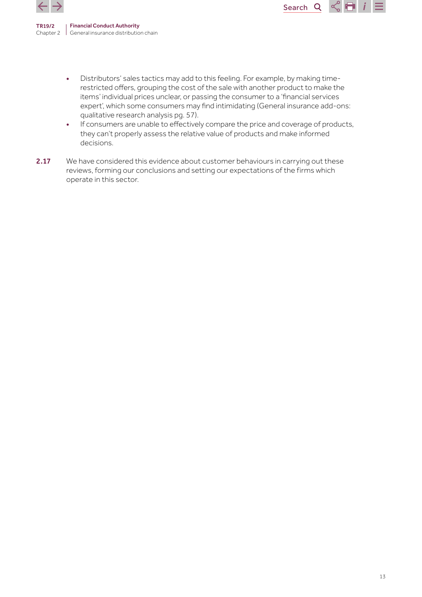

> • Distributors' sales tactics may add to this feeling. For example, by making timerestricted offers, grouping the cost of the sale with another product to make the items' individual prices unclear, or passing the consumer to a 'financial services expert', which some consumers may find intimidating (General insurance add-ons: qualitative research analysis pg. 57).

Search<sub>Q</sub>

 $\frac{1}{2}$  in

- If consumers are unable to effectively compare the price and coverage of products, they can't properly assess the relative value of products and make informed decisions.
- 2.17 We have considered this evidence about customer behaviours in carrying out these reviews, forming our conclusions and setting our expectations of the firms which operate in this sector.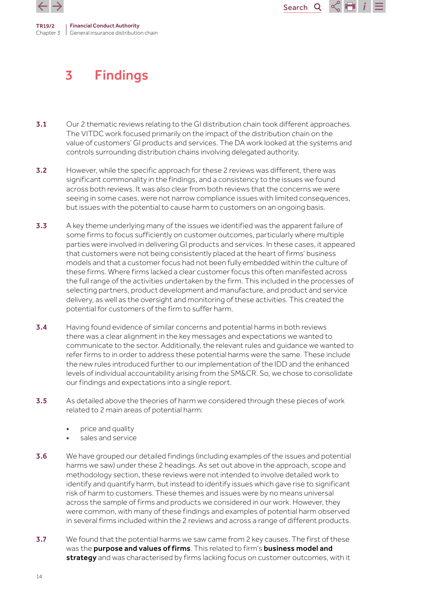<span id="page-13-0"></span>



# 3 Findings

- 3.1 Our 2 thematic reviews relating to the GI distribution chain took different approaches. The VITDC work focused primarily on the impact of the distribution chain on the value of customers' GI products and services. The DA work looked at the systems and controls surrounding distribution chains involving delegated authority.
- **3.2** However, while the specific approach for these 2 reviews was different, there was significant commonality in the findings, and a consistency to the issues we found across both reviews. It was also clear from both reviews that the concerns we were seeing in some cases, were not narrow compliance issues with limited consequences, but issues with the potential to cause harm to customers on an ongoing basis.
- 3.3 A key theme underlying many of the issues we identified was the apparent failure of some firms to focus sufficiently on customer outcomes, particularly where multiple parties were involved in delivering GI products and services. In these cases, it appeared that customers were not being consistently placed at the heart of firms' business models and that a customer focus had not been fully embedded within the culture of these firms. Where firms lacked a clear customer focus this often manifested across the full range of the activities undertaken by the firm. This included in the processes of selecting partners, product development and manufacture, and product and service delivery, as well as the oversight and monitoring of these activities. This created the potential for customers of the firm to suffer harm.
- 3.4 Having found evidence of similar concerns and potential harms in both reviews there was a clear alignment in the key messages and expectations we wanted to communicate to the sector. Additionally, the relevant rules and guidance we wanted to refer firms to in order to address these potential harms were the same. These include the new rules introduced further to our implementation of the IDD and the enhanced levels of individual accountability arising from the SM&CR. So, we chose to consolidate our findings and expectations into a single report.
- 3.5 As detailed above the theories of harm we considered through these pieces of work related to 2 main areas of potential harm:
	- price and quality
	- sales and service
- 3.6 We have grouped our detailed findings (including examples of the issues and potential harms we saw) under these 2 headings. As set out above in the approach, scope and methodology section, these reviews were not intended to involve detailed work to identify and quantify harm, but instead to identify issues which gave rise to significant risk of harm to customers. These themes and issues were by no means universal across the sample of firms and products we considered in our work. However, they were common, with many of these findings and examples of potential harm observed in several firms included within the 2 reviews and across a range of different products.
- **3.7** We found that the potential harms we saw came from 2 key causes. The first of these was the purpose and values of firms. This related to firm's business model and strategy and was characterised by firms lacking focus on customer outcomes, with it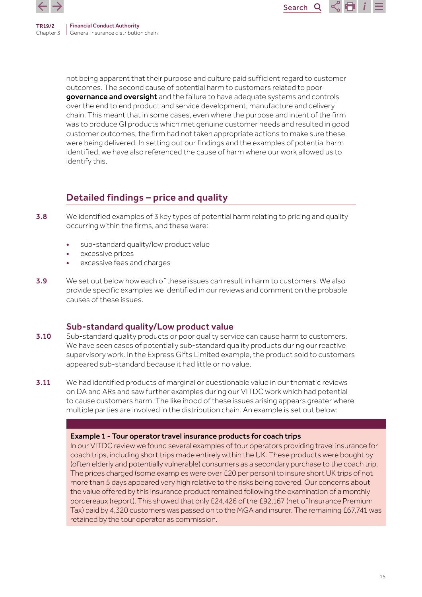



not being apparent that their purpose and culture paid sufficient regard to customer outcomes. The second cause of potential harm to customers related to poor governance and oversight and the failure to have adequate systems and controls over the end to end product and service development, manufacture and delivery chain. This meant that in some cases, even where the purpose and intent of the firm was to produce GI products which met genuine customer needs and resulted in good customer outcomes, the firm had not taken appropriate actions to make sure these were being delivered. In setting out our findings and the examples of potential harm identified, we have also referenced the cause of harm where our work allowed us to identify this.

## Detailed findings – price and quality

- **3.8** We identified examples of 3 key types of potential harm relating to pricing and quality occurring within the firms, and these were:
	- sub-standard quality/low product value
	- excessive prices
	- excessive fees and charges
- **3.9** We set out below how each of these issues can result in harm to customers. We also provide specific examples we identified in our reviews and comment on the probable causes of these issues.

## Sub-standard quality/Low product value

- **3.10** Sub-standard quality products or poor quality service can cause harm to customers. We have seen cases of potentially sub-standard quality products during our reactive supervisory work. In the Express Gifts Limited example, the product sold to customers appeared sub-standard because it had little or no value.
- 3.11 We had identified products of marginal or questionable value in our thematic reviews on DA and ARs and saw further examples during our VITDC work which had potential to cause customers harm. The likelihood of these issues arising appears greater where multiple parties are involved in the distribution chain. An example is set out below:

#### Example 1 - Tour operator travel insurance products for coach trips

In our VITDC review we found several examples of tour operators providing travel insurance for coach trips, including short trips made entirely within the UK. These products were bought by (often elderly and potentially vulnerable) consumers as a secondary purchase to the coach trip. The prices charged (some examples were over £20 per person) to insure short UK trips of not more than 5 days appeared very high relative to the risks being covered. Our concerns about the value offered by this insurance product remained following the examination of a monthly bordereaux (report). This showed that only £24,426 of the £92,167 (net of Insurance Premium Tax) paid by 4,320 customers was passed on to the MGA and insurer. The remaining £67,741 was retained by the tour operator as commission.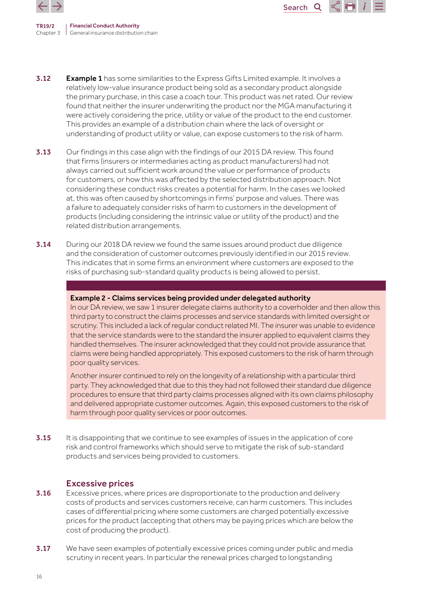

3.12 Example 1 has some similarities to the Express Gifts Limited example. It involves a relatively low-value insurance product being sold as a secondary product alongside the primary purchase, in this case a coach tour. This product was net rated. Our review found that neither the insurer underwriting the product nor the MGA manufacturing it were actively considering the price, utility or value of the product to the end customer. This provides an example of a distribution chain where the lack of oversight or understanding of product utility or value, can expose customers to the risk of harm.

Search<sub>Q</sub>

- **3.13** Our findings in this case align with the findings of our 2015 DA review. This found that firms (insurers or intermediaries acting as product manufacturers) had not always carried out sufficient work around the value or performance of products for customers, or how this was affected by the selected distribution approach. Not considering these conduct risks creates a potential for harm. In the cases we looked at, this was often caused by shortcomings in firms' purpose and values. There was a failure to adequately consider risks of harm to customers in the development of products (including considering the intrinsic value or utility of the product) and the related distribution arrangements.
- 3.14 During our 2018 DA review we found the same issues around product due diligence and the consideration of customer outcomes previously identified in our 2015 review. This indicates that in some firms an environment where customers are exposed to the risks of purchasing sub-standard quality products is being allowed to persist.

#### Example 2 - Claims services being provided under delegated authority

In our DA review, we saw 1 insurer delegate claims authority to a coverholder and then allow this third party to construct the claims processes and service standards with limited oversight or scrutiny. This included a lack of regular conduct related MI. The insurer was unable to evidence that the service standards were to the standard the insurer applied to equivalent claims they handled themselves. The insurer acknowledged that they could not provide assurance that claims were being handled appropriately. This exposed customers to the risk of harm through poor quality services.

Another insurer continued to rely on the longevity of a relationship with a particular third party. They acknowledged that due to this they had not followed their standard due diligence procedures to ensure that third party claims processes aligned with its own claims philosophy and delivered appropriate customer outcomes. Again, this exposed customers to the risk of harm through poor quality services or poor outcomes.

3.15 It is disappointing that we continue to see examples of issues in the application of core risk and control frameworks which should serve to mitigate the risk of sub-standard products and services being provided to customers.

## Excessive prices

- **3.16** Excessive prices, where prices are disproportionate to the production and delivery costs of products and services customers receive, can harm customers. This includes cases of differential pricing where some customers are charged potentially excessive prices for the product (accepting that others may be paying prices which are below the cost of producing the product).
- 3.17 We have seen examples of potentially excessive prices coming under public and media scrutiny in recent years. In particular the renewal prices charged to longstanding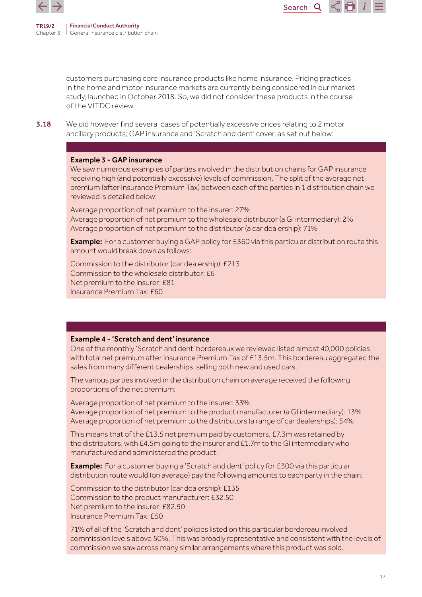

Search<sub>Q</sub>  $\propto$   $\blacksquare$ 

customers purchasing core insurance products like home insurance. Pricing practices in the home and motor insurance markets are currently being considered in our market study, launched in October 2018. So, we did not consider these products in the course of the VITDC review.

**3.18** We did however find several cases of potentially excessive prices relating to 2 motor ancillary products; GAP insurance and 'Scratch and dent' cover, as set out below:

#### Example 3 - GAP insurance

We saw numerous examples of parties involved in the distribution chains for GAP insurance receiving high (and potentially excessive) levels of commission. The split of the average net premium (after Insurance Premium Tax) between each of the parties in 1 distribution chain we reviewed is detailed below:

Average proportion of net premium to the insurer: 27% Average proportion of net premium to the wholesale distributor (a GI intermediary): 2% Average proportion of net premium to the distributor (a car dealership): 71%

**Example:** For a customer buying a GAP policy for £360 via this particular distribution route this amount would break down as follows:

Commission to the distributor (car dealership): £213 Commission to the wholesale distributor: £6 Net premium to the insurer: £81 Insurance Premium Tax: £60

#### Example 4 - 'Scratch and dent' insurance

One of the monthly 'Scratch and dent' bordereaux we reviewed listed almost 40,000 policies with total net premium after Insurance Premium Tax of £13.5m. This bordereau aggregated the sales from many different dealerships, selling both new and used cars.

The various parties involved in the distribution chain on average received the following proportions of the net premium:

Average proportion of net premium to the insurer: 33% Average proportion of net premium to the product manufacturer (a GI intermediary): 13% Average proportion of net premium to the distributors (a range of car dealerships): 54%

This means that of the £13.5 net premium paid by customers, £7.3m was retained by the distributors, with £4.5m going to the insurer and £1.7m to the GI intermediary who manufactured and administered the product.

**Example:** For a customer buying a 'Scratch and dent' policy for £300 via this particular distribution route would (on average) pay the following amounts to each party in the chain:

Commission to the distributor (car dealership): £135 Commission to the product manufacturer: £32.50 Net premium to the insurer: £82.50 Insurance Premium Tax: £50

71% of all of the 'Scratch and dent' policies listed on this particular bordereau involved commission levels above 50%. This was broadly representative and consistent with the levels of commission we saw across many similar arrangements where this product was sold.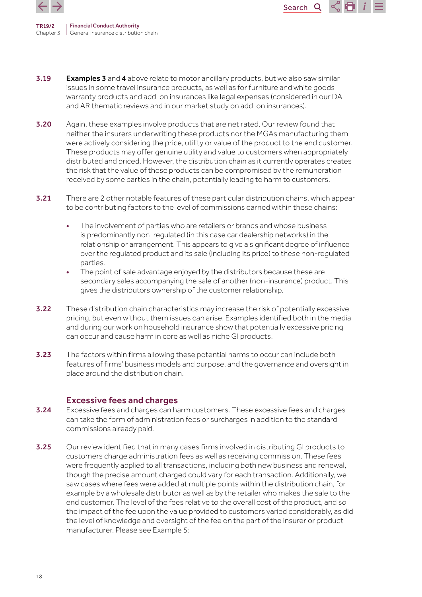

**3.19** Examples 3 and 4 above relate to motor ancillary products, but we also saw similar issues in some travel insurance products, as well as for furniture and white goods warranty products and add-on insurances like legal expenses (considered in our DA and AR thematic reviews and in our market study on add-on insurances).

Search<sub>Q</sub>

- 3.20 Again, these examples involve products that are net rated. Our review found that neither the insurers underwriting these products nor the MGAs manufacturing them were actively considering the price, utility or value of the product to the end customer. These products may offer genuine utility and value to customers when appropriately distributed and priced. However, the distribution chain as it currently operates creates the risk that the value of these products can be compromised by the remuneration received by some parties in the chain, potentially leading to harm to customers.
- 3.21 There are 2 other notable features of these particular distribution chains, which appear to be contributing factors to the level of commissions earned within these chains:
	- The involvement of parties who are retailers or brands and whose business is predominantly non-regulated (in this case car dealership networks) in the relationship or arrangement. This appears to give a significant degree of influence over the regulated product and its sale (including its price) to these non-regulated parties.
	- The point of sale advantage enjoyed by the distributors because these are secondary sales accompanying the sale of another (non-insurance) product. This gives the distributors ownership of the customer relationship.
- 3.22 These distribution chain characteristics may increase the risk of potentially excessive pricing, but even without them issues can arise. Examples identified both in the media and during our work on household insurance show that potentially excessive pricing can occur and cause harm in core as well as niche GI products.
- 3.23 The factors within firms allowing these potential harms to occur can include both features of firms' business models and purpose, and the governance and oversight in place around the distribution chain.

## Excessive fees and charges

- 3.24 Excessive fees and charges can harm customers. These excessive fees and charges can take the form of administration fees or surcharges in addition to the standard commissions already paid.
- 3.25 Our review identified that in many cases firms involved in distributing GI products to customers charge administration fees as well as receiving commission. These fees were frequently applied to all transactions, including both new business and renewal, though the precise amount charged could vary for each transaction. Additionally, we saw cases where fees were added at multiple points within the distribution chain, for example by a wholesale distributor as well as by the retailer who makes the sale to the end customer. The level of the fees relative to the overall cost of the product, and so the impact of the fee upon the value provided to customers varied considerably, as did the level of knowledge and oversight of the fee on the part of the insurer or product manufacturer. Please see Example 5: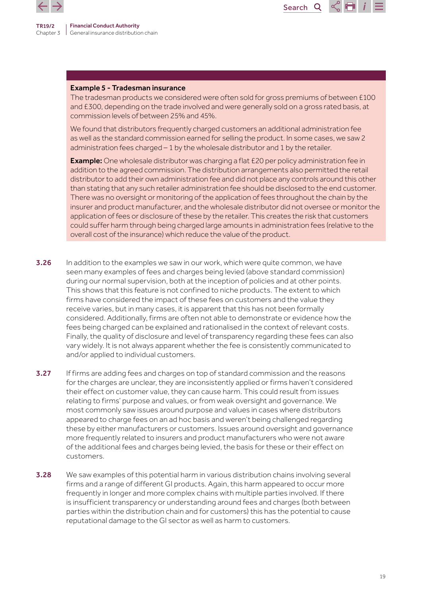

TR19/2



#### Example 5 - Tradesman insurance

The tradesman products we considered were often sold for gross premiums of between £100 and £300, depending on the trade involved and were generally sold on a gross rated basis, at commission levels of between 25% and 45%.

We found that distributors frequently charged customers an additional administration fee as well as the standard commission earned for selling the product. In some cases, we saw 2 administration fees charged – 1 by the wholesale distributor and 1 by the retailer.

**Example:** One wholesale distributor was charging a flat £20 per policy administration fee in addition to the agreed commission. The distribution arrangements also permitted the retail distributor to add their own administration fee and did not place any controls around this other than stating that any such retailer administration fee should be disclosed to the end customer. There was no oversight or monitoring of the application of fees throughout the chain by the insurer and product manufacturer, and the wholesale distributor did not oversee or monitor the application of fees or disclosure of these by the retailer. This creates the risk that customers could suffer harm through being charged large amounts in administration fees (relative to the overall cost of the insurance) which reduce the value of the product.

- **3.26** In addition to the examples we saw in our work, which were quite common, we have seen many examples of fees and charges being levied (above standard commission) during our normal supervision, both at the inception of policies and at other points. This shows that this feature is not confined to niche products. The extent to which firms have considered the impact of these fees on customers and the value they receive varies, but in many cases, it is apparent that this has not been formally considered. Additionally, firms are often not able to demonstrate or evidence how the fees being charged can be explained and rationalised in the context of relevant costs. Finally, the quality of disclosure and level of transparency regarding these fees can also vary widely. It is not always apparent whether the fee is consistently communicated to and/or applied to individual customers.
- 3.27 If firms are adding fees and charges on top of standard commission and the reasons for the charges are unclear, they are inconsistently applied or firms haven't considered their effect on customer value, they can cause harm. This could result from issues relating to firms' purpose and values, or from weak oversight and governance. We most commonly saw issues around purpose and values in cases where distributors appeared to charge fees on an ad hoc basis and weren't being challenged regarding these by either manufacturers or customers. Issues around oversight and governance more frequently related to insurers and product manufacturers who were not aware of the additional fees and charges being levied, the basis for these or their effect on customers.
- **3.28** We saw examples of this potential harm in various distribution chains involving several firms and a range of different GI products. Again, this harm appeared to occur more frequently in longer and more complex chains with multiple parties involved. If there is insufficient transparency or understanding around fees and charges (both between parties within the distribution chain and for customers) this has the potential to cause reputational damage to the GI sector as well as harm to customers.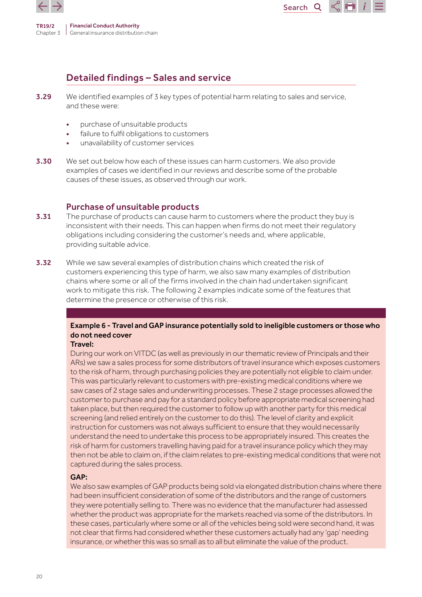



## Detailed findings – Sales and service

- 3.29 We identified examples of 3 key types of potential harm relating to sales and service, and these were:
	- purchase of unsuitable products
	- failure to fulfil obligations to customers
	- unavailability of customer services
- **3.30** We set out below how each of these issues can harm customers. We also provide examples of cases we identified in our reviews and describe some of the probable causes of these issues, as observed through our work.

## Purchase of unsuitable products

- **3.31** The purchase of products can cause harm to customers where the product they buy is inconsistent with their needs. This can happen when firms do not meet their regulatory obligations including considering the customer's needs and, where applicable, providing suitable advice.
- **3.32** While we saw several examples of distribution chains which created the risk of customers experiencing this type of harm, we also saw many examples of distribution chains where some or all of the firms involved in the chain had undertaken significant work to mitigate this risk. The following 2 examples indicate some of the features that determine the presence or otherwise of this risk.

## Example 6 - Travel and GAP insurance potentially sold to ineligible customers or those who do not need cover

### Travel:

During our work on VITDC (as well as previously in our thematic review of Principals and their ARs) we saw a sales process for some distributors of travel insurance which exposes customers to the risk of harm, through purchasing policies they are potentially not eligible to claim under. This was particularly relevant to customers with pre-existing medical conditions where we saw cases of 2 stage sales and underwriting processes. These 2 stage processes allowed the customer to purchase and pay for a standard policy before appropriate medical screening had taken place, but then required the customer to follow up with another party for this medical screening (and relied entirely on the customer to do this). The level of clarity and explicit instruction for customers was not always sufficient to ensure that they would necessarily understand the need to undertake this process to be appropriately insured. This creates the risk of harm for customers travelling having paid for a travel insurance policy which they may then not be able to claim on, if the claim relates to pre-existing medical conditions that were not captured during the sales process.

## GAP:

We also saw examples of GAP products being sold via elongated distribution chains where there had been insufficient consideration of some of the distributors and the range of customers they were potentially selling to. There was no evidence that the manufacturer had assessed whether the product was appropriate for the markets reached via some of the distributors. In these cases, particularly where some or all of the vehicles being sold were second hand, it was not clear that firms had considered whether these customers actually had any 'gap' needing insurance, or whether this was so small as to all but eliminate the value of the product.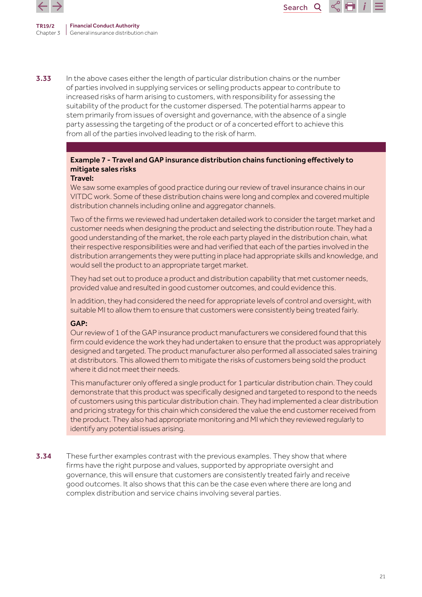

**3.33** In the above cases either the length of particular distribution chains or the number of parties involved in supplying services or selling products appear to contribute to increased risks of harm arising to customers, with responsibility for assessing the suitability of the product for the customer dispersed. The potential harms appear to stem primarily from issues of oversight and governance, with the absence of a single party assessing the targeting of the product or of a concerted effort to achieve this from all of the parties involved leading to the risk of harm.

## Example 7 - Travel and GAP insurance distribution chains functioning effectively to mitigate sales risks

#### Travel:

We saw some examples of good practice during our review of travel insurance chains in our VITDC work. Some of these distribution chains were long and complex and covered multiple distribution channels including online and aggregator channels.

Search

**Q** 

Two of the firms we reviewed had undertaken detailed work to consider the target market and customer needs when designing the product and selecting the distribution route. They had a good understanding of the market, the role each party played in the distribution chain, what their respective responsibilities were and had verified that each of the parties involved in the distribution arrangements they were putting in place had appropriate skills and knowledge, and would sell the product to an appropriate target market.

They had set out to produce a product and distribution capability that met customer needs, provided value and resulted in good customer outcomes, and could evidence this.

In addition, they had considered the need for appropriate levels of control and oversight, with suitable MI to allow them to ensure that customers were consistently being treated fairly.

### GAP:

Our review of 1 of the GAP insurance product manufacturers we considered found that this firm could evidence the work they had undertaken to ensure that the product was appropriately designed and targeted. The product manufacturer also performed all associated sales training at distributors. This allowed them to mitigate the risks of customers being sold the product where it did not meet their needs.

This manufacturer only offered a single product for 1 particular distribution chain. They could demonstrate that this product was specifically designed and targeted to respond to the needs of customers using this particular distribution chain. They had implemented a clear distribution and pricing strategy for this chain which considered the value the end customer received from the product. They also had appropriate monitoring and MI which they reviewed regularly to identify any potential issues arising.

**3.34** These further examples contrast with the previous examples. They show that where firms have the right purpose and values, supported by appropriate oversight and governance, this will ensure that customers are consistently treated fairly and receive good outcomes. It also shows that this can be the case even where there are long and complex distribution and service chains involving several parties.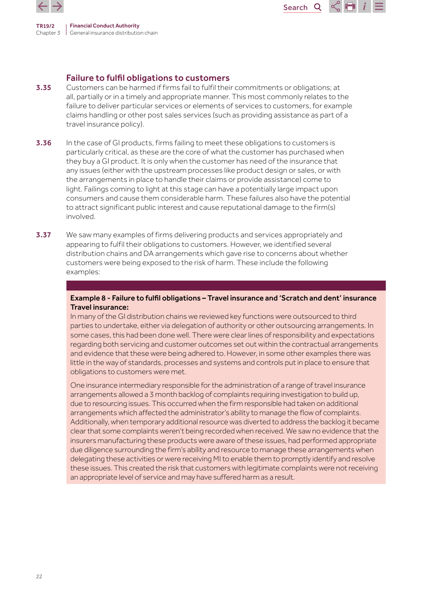

## Failure to fulfil obligations to customers

**3.35** Customers can be harmed if firms fail to fulfil their commitments or obligations; at all, partially or in a timely and appropriate manner. This most commonly relates to the failure to deliver particular services or elements of services to customers, for example claims handling or other post sales services (such as providing assistance as part of a travel insurance policy).

Search<sub>Q</sub>

- **3.36** In the case of GI products, firms failing to meet these obligations to customers is particularly critical, as these are the core of what the customer has purchased when they buy a GI product. It is only when the customer has need of the insurance that any issues (either with the upstream processes like product design or sales, or with the arrangements in place to handle their claims or provide assistance) come to light. Failings coming to light at this stage can have a potentially large impact upon consumers and cause them considerable harm. These failures also have the potential to attract significant public interest and cause reputational damage to the firm(s) involved.
- 3.37 We saw many examples of firms delivering products and services appropriately and appearing to fulfil their obligations to customers. However, we identified several distribution chains and DA arrangements which gave rise to concerns about whether customers were being exposed to the risk of harm. These include the following examples:

### Example 8 - Failure to fulfil obligations – Travel insurance and 'Scratch and dent' insurance Travel insurance:

In many of the GI distribution chains we reviewed key functions were outsourced to third parties to undertake, either via delegation of authority or other outsourcing arrangements. In some cases, this had been done well. There were clear lines of responsibility and expectations regarding both servicing and customer outcomes set out within the contractual arrangements and evidence that these were being adhered to. However, in some other examples there was little in the way of standards, processes and systems and controls put in place to ensure that obligations to customers were met.

One insurance intermediary responsible for the administration of a range of travel insurance arrangements allowed a 3 month backlog of complaints requiring investigation to build up, due to resourcing issues. This occurred when the firm responsible had taken on additional arrangements which affected the administrator's ability to manage the flow of complaints. Additionally, when temporary additional resource was diverted to address the backlog it became clear that some complaints weren't being recorded when received. We saw no evidence that the insurers manufacturing these products were aware of these issues, had performed appropriate due diligence surrounding the firm's ability and resource to manage these arrangements when delegating these activities or were receiving MI to enable them to promptly identify and resolve these issues. This created the risk that customers with legitimate complaints were not receiving an appropriate level of service and may have suffered harm as a result.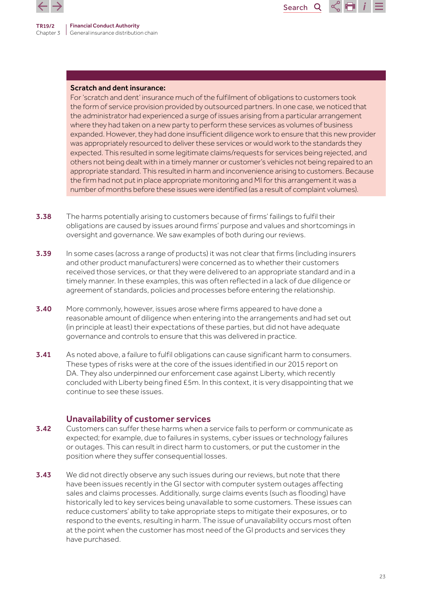

TR19/2



### Scratch and dent insurance:

For 'scratch and dent' insurance much of the fulfilment of obligations to customers took the form of service provision provided by outsourced partners. In one case, we noticed that the administrator had experienced a surge of issues arising from a particular arrangement where they had taken on a new party to perform these services as volumes of business expanded. However, they had done insufficient diligence work to ensure that this new provider was appropriately resourced to deliver these services or would work to the standards they expected. This resulted in some legitimate claims/requests for services being rejected, and others not being dealt with in a timely manner or customer's vehicles not being repaired to an appropriate standard. This resulted in harm and inconvenience arising to customers. Because the firm had not put in place appropriate monitoring and MI for this arrangement it was a number of months before these issues were identified (as a result of complaint volumes).

- **3.38** The harms potentially arising to customers because of firms' failings to fulfil their obligations are caused by issues around firms' purpose and values and shortcomings in oversight and governance. We saw examples of both during our reviews.
- **3.39** In some cases (across a range of products) it was not clear that firms (including insurers and other product manufacturers) were concerned as to whether their customers received those services, or that they were delivered to an appropriate standard and in a timely manner. In these examples, this was often reflected in a lack of due diligence or agreement of standards, policies and processes before entering the relationship.
- **3.40** More commonly, however, issues arose where firms appeared to have done a reasonable amount of diligence when entering into the arrangements and had set out (in principle at least) their expectations of these parties, but did not have adequate governance and controls to ensure that this was delivered in practice.
- 3.41 As noted above, a failure to fulfil obligations can cause significant harm to consumers. These types of risks were at the core of the issues identified in our 2015 report on DA. They also underpinned our enforcement case against Liberty, which recently concluded with Liberty being fined £5m. In this context, it is very disappointing that we continue to see these issues.

## Unavailability of customer services

- **3.42** Customers can suffer these harms when a service fails to perform or communicate as expected; for example, due to failures in systems, cyber issues or technology failures or outages. This can result in direct harm to customers, or put the customer in the position where they suffer consequential losses.
- **3.43** We did not directly observe any such issues during our reviews, but note that there have been issues recently in the GI sector with computer system outages affecting sales and claims processes. Additionally, surge claims events (such as flooding) have historically led to key services being unavailable to some customers. These issues can reduce customers' ability to take appropriate steps to mitigate their exposures, or to respond to the events, resulting in harm. The issue of unavailability occurs most often at the point when the customer has most need of the GI products and services they have purchased.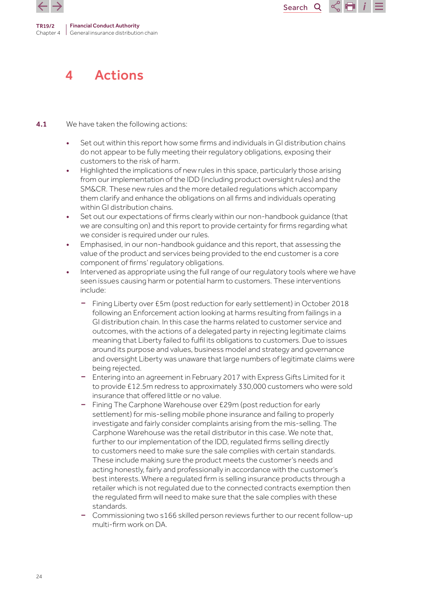<span id="page-23-0"></span>



## 4 Actions

**4.1** We have taken the following actions:

- Set out within this report how some firms and individuals in GI distribution chains do not appear to be fully meeting their regulatory obligations, exposing their customers to the risk of harm.
- Highlighted the implications of new rules in this space, particularly those arising from our implementation of the IDD (including product oversight rules) and the SM&CR. These new rules and the more detailed regulations which accompany them clarify and enhance the obligations on all firms and individuals operating within GI distribution chains.
- Set out our expectations of firms clearly within our non-handbook guidance (that we are consulting on) and this report to provide certainty for firms regarding what we consider is required under our rules.
- Emphasised, in our non-handbook guidance and this report, that assessing the value of the product and services being provided to the end customer is a core component of firms' regulatory obligations.
- Intervened as appropriate using the full range of our regulatory tools where we have seen issues causing harm or potential harm to customers. These interventions include:
	- Fining Liberty over £5m (post reduction for early settlement) in October 2018 following an Enforcement action looking at harms resulting from failings in a GI distribution chain. In this case the harms related to customer service and outcomes, with the actions of a delegated party in rejecting legitimate claims meaning that Liberty failed to fulfil its obligations to customers. Due to issues around its purpose and values, business model and strategy and governance and oversight Liberty was unaware that large numbers of legitimate claims were being rejected.
	- Entering into an agreement in February 2017 with Express Gifts Limited for it to provide £12.5m redress to approximately 330,000 customers who were sold insurance that offered little or no value.
	- Fining The Carphone Warehouse over £29m (post reduction for early settlement) for mis-selling mobile phone insurance and failing to properly investigate and fairly consider complaints arising from the mis-selling. The Carphone Warehouse was the retail distributor in this case. We note that, further to our implementation of the IDD, regulated firms selling directly to customers need to make sure the sale complies with certain standards. These include making sure the product meets the customer's needs and acting honestly, fairly and professionally in accordance with the customer's best interests. Where a regulated firm is selling insurance products through a retailer which is not regulated due to the connected contracts exemption then the regulated firm will need to make sure that the sale complies with these standards.
	- Commissioning two s166 skilled person reviews further to our recent follow-up multi-firm work on DA.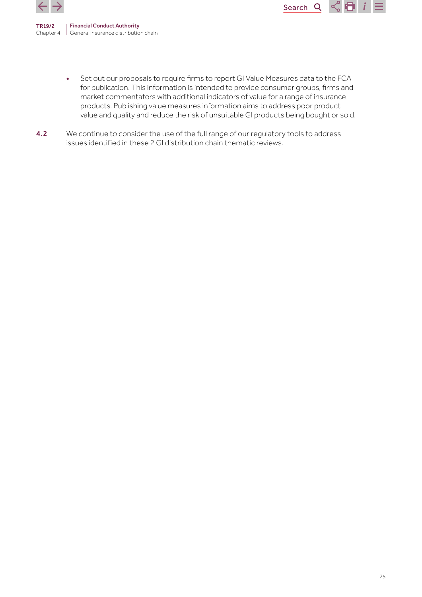

> • Set out our proposals to require firms to report GI Value Measures data to the FCA for publication. This information is intended to provide consumer groups, firms and market commentators with additional indicators of value for a range of insurance products. Publishing value measures information aims to address poor product value and quality and reduce the risk of unsuitable GI products being bought or sold.

Search<sub>Q</sub>

 $\leq$   $\blacksquare$ 

4.2 We continue to consider the use of the full range of our regulatory tools to address issues identified in these 2 GI distribution chain thematic reviews.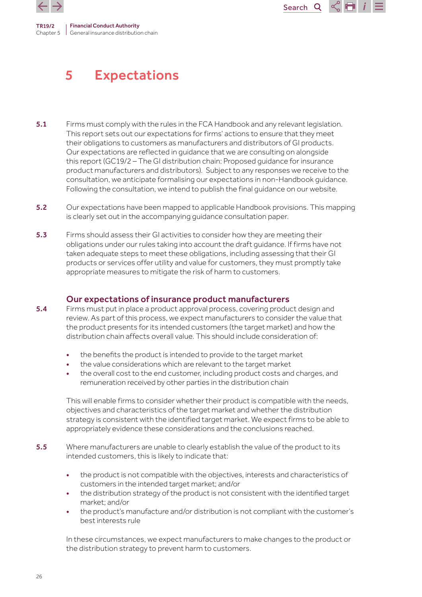<span id="page-25-0"></span>

## 5 Expectations

5.1 Firms must comply with the rules in the FCA Handbook and any relevant legislation. This report sets out our expectations for firms' actions to ensure that they meet their obligations to customers as manufacturers and distributors of GI products. Our expectations are reflected in guidance that we are consulting on alongside this report (GC19/2 – The GI distribution chain: Proposed guidance for insurance product manufacturers and distributors). Subject to any responses we receive to the consultation, we anticipate formalising our expectations in non-Handbook guidance. Following the consultation, we intend to publish the final guidance on our website.

Search<sup>Q</sup>

TH

- 5.2 Our expectations have been mapped to applicable Handbook provisions. This mapping is clearly set out in the accompanying guidance consultation paper.
- 5.3 Firms should assess their GI activities to consider how they are meeting their obligations under our rules taking into account the draft guidance. If firms have not taken adequate steps to meet these obligations, including assessing that their GI products or services offer utility and value for customers, they must promptly take appropriate measures to mitigate the risk of harm to customers.

## Our expectations of insurance product manufacturers

- 5.4 Firms must put in place a product approval process, covering product design and review. As part of this process, we expect manufacturers to consider the value that the product presents for its intended customers (the target market) and how the distribution chain affects overall value. This should include consideration of:
	- the benefits the product is intended to provide to the target market
	- the value considerations which are relevant to the target market
	- the overall cost to the end customer, including product costs and charges, and remuneration received by other parties in the distribution chain

This will enable firms to consider whether their product is compatible with the needs, objectives and characteristics of the target market and whether the distribution strategy is consistent with the identified target market. We expect firms to be able to appropriately evidence these considerations and the conclusions reached.

- 5.5 Where manufacturers are unable to clearly establish the value of the product to its intended customers, this is likely to indicate that:
	- the product is not compatible with the objectives, interests and characteristics of customers in the intended target market; and/or
	- the distribution strategy of the product is not consistent with the identified target market; and/or
	- the product's manufacture and/or distribution is not compliant with the customer's best interests rule

In these circumstances, we expect manufacturers to make changes to the product or the distribution strategy to prevent harm to customers.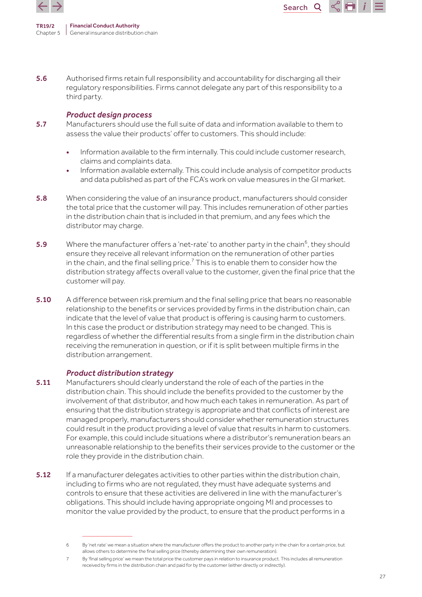

TR19/2 Chapter 5 Financial Conduct Authority General insurance distribution chain

5.6 Authorised firms retain full responsibility and accountability for discharging all their regulatory responsibilities. Firms cannot delegate any part of this responsibility to a third party.

#### *Product design process*

- 5.7 Manufacturers should use the full suite of data and information available to them to assess the value their products' offer to customers. This should include:
	- Information available to the firm internally. This could include customer research, claims and complaints data.

Search<sub>Q</sub>

- Information available externally. This could include analysis of competitor products and data published as part of the FCA's work on value measures in the GI market.
- 5.8 When considering the value of an insurance product, manufacturers should consider the total price that the customer will pay. This includes remuneration of other parties in the distribution chain that is included in that premium, and any fees which the distributor may charge.
- **5.9** Where the manufacturer offers a 'net-rate' to another party in the chain<sup>6</sup>, they should ensure they receive all relevant information on the remuneration of other parties in the chain, and the final selling price. $^7$  This is to enable them to consider how the distribution strategy affects overall value to the customer, given the final price that the customer will pay.
- **5.10** A difference between risk premium and the final selling price that bears no reasonable relationship to the benefits or services provided by firms in the distribution chain, can indicate that the level of value that product is offering is causing harm to customers. In this case the product or distribution strategy may need to be changed. This is regardless of whether the differential results from a single firm in the distribution chain receiving the remuneration in question, or if it is split between multiple firms in the distribution arrangement.

## *Product distribution strategy*

- 5.11 Manufacturers should clearly understand the role of each of the parties in the distribution chain. This should include the benefits provided to the customer by the involvement of that distributor, and how much each takes in remuneration. As part of ensuring that the distribution strategy is appropriate and that conflicts of interest are managed properly, manufacturers should consider whether remuneration structures could result in the product providing a level of value that results in harm to customers. For example, this could include situations where a distributor's remuneration bears an unreasonable relationship to the benefits their services provide to the customer or the role they provide in the distribution chain.
- **5.12** If a manufacturer delegates activities to other parties within the distribution chain, including to firms who are not regulated, they must have adequate systems and controls to ensure that these activities are delivered in line with the manufacturer's obligations. This should include having appropriate ongoing MI and processes to monitor the value provided by the product, to ensure that the product performs in a

<sup>6</sup> By 'net rate' we mean a situation where the manufacturer offers the product to another party in the chain for a certain price, but allows others to determine the final selling price (thereby determining their own remuneration).

<sup>7</sup> By 'final selling price' we mean the total price the customer pays in relation to insurance product. This includes all remuneration received by firms in the distribution chain and paid for by the customer (either directly or indirectly).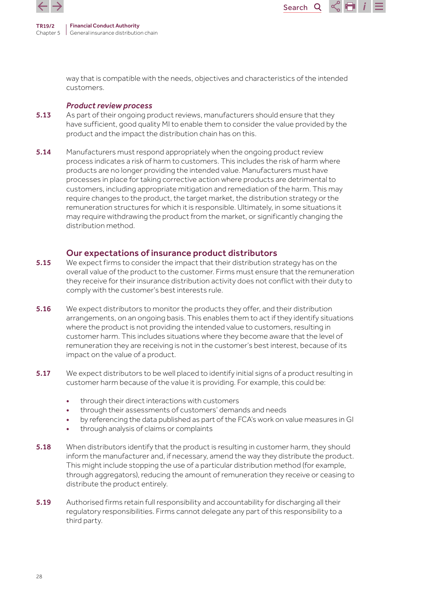

> way that is compatible with the needs, objectives and characteristics of the intended customers.

Search<sup>Q</sup>

 $\sim$  100  $\pm$ 

#### *Product review process*

- 5.13 As part of their ongoing product reviews, manufacturers should ensure that they have sufficient, good quality MI to enable them to consider the value provided by the product and the impact the distribution chain has on this.
- **5.14** Manufacturers must respond appropriately when the ongoing product review process indicates a risk of harm to customers. This includes the risk of harm where products are no longer providing the intended value. Manufacturers must have processes in place for taking corrective action where products are detrimental to customers, including appropriate mitigation and remediation of the harm. This may require changes to the product, the target market, the distribution strategy or the remuneration structures for which it is responsible. Ultimately, in some situations it may require withdrawing the product from the market, or significantly changing the distribution method.

## Our expectations of insurance product distributors

- **5.15** We expect firms to consider the impact that their distribution strategy has on the overall value of the product to the customer. Firms must ensure that the remuneration they receive for their insurance distribution activity does not conflict with their duty to comply with the customer's best interests rule.
- 5.16 We expect distributors to monitor the products they offer, and their distribution arrangements, on an ongoing basis. This enables them to act if they identify situations where the product is not providing the intended value to customers, resulting in customer harm. This includes situations where they become aware that the level of remuneration they are receiving is not in the customer's best interest, because of its impact on the value of a product.
- 5.17 We expect distributors to be well placed to identify initial signs of a product resulting in customer harm because of the value it is providing. For example, this could be:
	- through their direct interactions with customers
	- through their assessments of customers' demands and needs
	- by referencing the data published as part of the FCA's work on value measures in GI
	- through analysis of claims or complaints
- 5.18 When distributors identify that the product is resulting in customer harm, they should inform the manufacturer and, if necessary, amend the way they distribute the product. This might include stopping the use of a particular distribution method (for example, through aggregators), reducing the amount of remuneration they receive or ceasing to distribute the product entirely.
- 5.19 Authorised firms retain full responsibility and accountability for discharging all their regulatory responsibilities. Firms cannot delegate any part of this responsibility to a third party.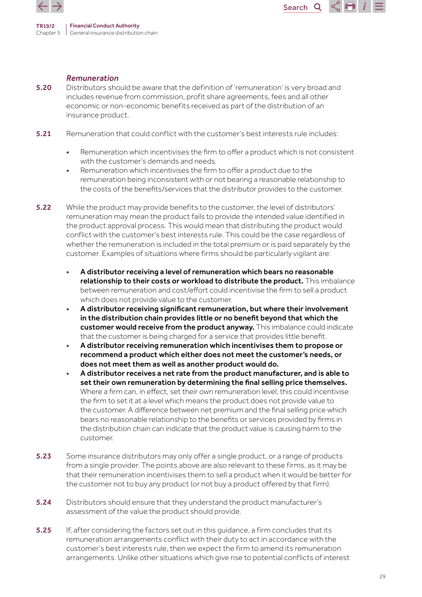



### *Remuneration*

- **5.20** Distributors should be aware that the definition of 'remuneration' is very broad and includes revenue from commission, profit share agreements, fees and all other economic or non-economic benefits received as part of the distribution of an insurance product.
- **5.21** Remuneration that could conflict with the customer's best interests rule includes:
	- Remuneration which incentivises the firm to offer a product which is not consistent with the customer's demands and needs.
	- Remuneration which incentivises the firm to offer a product due to the remuneration being inconsistent with or not bearing a reasonable relationship to the costs of the benefits/services that the distributor provides to the customer.
- **5.22** While the product may provide benefits to the customer, the level of distributors' remuneration may mean the product fails to provide the intended value identified in the product approval process. This would mean that distributing the product would conflict with the customer's best interests rule. This could be the case regardless of whether the remuneration is included in the total premium or is paid separately by the customer. Examples of situations where firms should be particularly vigilant are:
	- A distributor receiving a level of remuneration which bears no reasonable relationship to their costs or workload to distribute the product. This imbalance between remuneration and cost/effort could incentivise the firm to sell a product which does not provide value to the customer.
	- A distributor receiving significant remuneration, but where their involvement in the distribution chain provides little or no benefit beyond that which the customer would receive from the product anyway. This imbalance could indicate that the customer is being charged for a service that provides little benefit.
	- A distributor receiving remuneration which incentivises them to propose or recommend a product which either does not meet the customer's needs, or does not meet them as well as another product would do.
	- A distributor receives a net rate from the product manufacturer, and is able to set their own remuneration by determining the final selling price themselves. Where a firm can, in effect, set their own remuneration level, this could incentivise the firm to set it at a level which means the product does not provide value to the customer. A difference between net premium and the final selling price which bears no reasonable relationship to the benefits or services provided by firms in the distribution chain can indicate that the product value is causing harm to the customer.
- 5.23 Some insurance distributors may only offer a single product, or a range of products from a single provider. The points above are also relevant to these firms, as it may be that their remuneration incentivises them to sell a product when it would be better for the customer not to buy any product (or not buy a product offered by that firm).
- 5.24 Distributors should ensure that they understand the product manufacturer's assessment of the value the product should provide.
- 5.25 If, after considering the factors set out in this quidance, a firm concludes that its remuneration arrangements conflict with their duty to act in accordance with the customer's best interests rule, then we expect the firm to amend its remuneration arrangements. Unlike other situations which give rise to potential conflicts of interest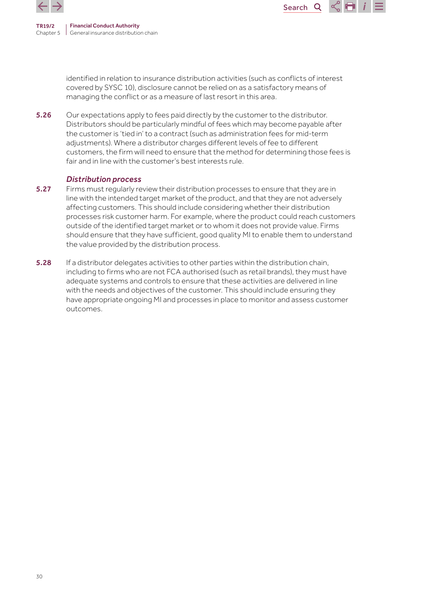

Search<sub>Q</sub>

identified in relation to insurance distribution activities (such as conflicts of interest covered by SYSC 10), disclosure cannot be relied on as a satisfactory means of managing the conflict or as a measure of last resort in this area.

5.26 Our expectations apply to fees paid directly by the customer to the distributor. Distributors should be particularly mindful of fees which may become payable after the customer is 'tied in' to a contract (such as administration fees for mid-term adjustments). Where a distributor charges different levels of fee to different customers, the firm will need to ensure that the method for determining those fees is fair and in line with the customer's best interests rule.

### *Distribution process*

- 5.27 Firms must regularly review their distribution processes to ensure that they are in line with the intended target market of the product, and that they are not adversely affecting customers. This should include considering whether their distribution processes risk customer harm. For example, where the product could reach customers outside of the identified target market or to whom it does not provide value. Firms should ensure that they have sufficient, good quality MI to enable them to understand the value provided by the distribution process.
- **5.28** If a distributor delegates activities to other parties within the distribution chain, including to firms who are not FCA authorised (such as retail brands), they must have adequate systems and controls to ensure that these activities are delivered in line with the needs and objectives of the customer. This should include ensuring they have appropriate ongoing MI and processes in place to monitor and assess customer outcomes.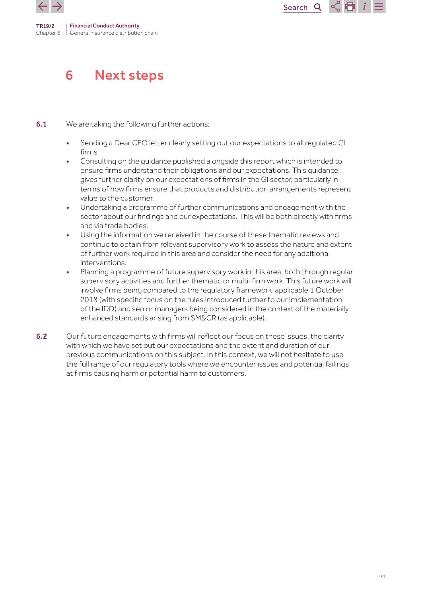<span id="page-30-0"></span>



## 6 Next steps

## **6.1** We are taking the following further actions:

- Sending a Dear CEO letter clearly setting out our expectations to all regulated GI firms.
- Consulting on the guidance published alongside this report which is intended to ensure firms understand their obligations and our expectations. This guidance gives further clarity on our expectations of firms in the GI sector, particularly in terms of how firms ensure that products and distribution arrangements represent value to the customer.
- Undertaking a programme of further communications and engagement with the sector about our findings and our expectations. This will be both directly with firms and via trade bodies.
- Using the information we received in the course of these thematic reviews and continue to obtain from relevant supervisory work to assess the nature and extent of further work required in this area and consider the need for any additional interventions.
- Planning a programme of future supervisory work in this area, both through regular supervisory activities and further thematic or multi-firm work. This future work will involve firms being compared to the regulatory framework applicable 1 October 2018 (with specific focus on the rules introduced further to our implementation of the IDD) and senior managers being considered in the context of the materially enhanced standards arising from SM&CR (as applicable).
- 6.2 Our future engagements with firms will reflect our focus on these issues, the clarity with which we have set out our expectations and the extent and duration of our previous communications on this subject. In this context, we will not hesitate to use the full range of our regulatory tools where we encounter issues and potential failings at firms causing harm or potential harm to customers.